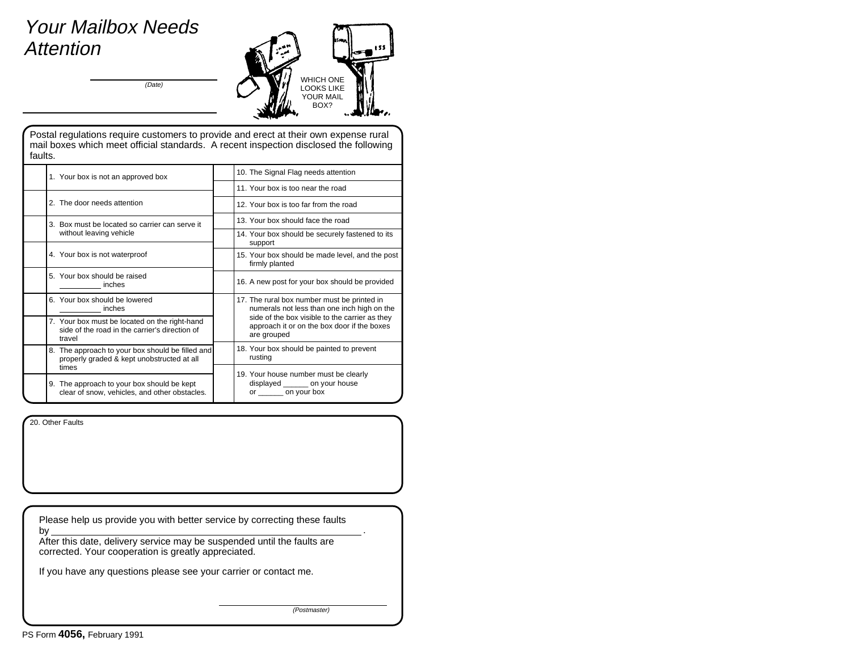## Your Mailbox Needs Attention

(Date)



Postal regulations require customers to provide and erect at their own expense rural mail boxes which meet official standards. A recent inspection disclosed the following faults.

| 1. Your box is not an approved box                                                                        | 10. The Signal Flag needs attention                                                                                                                                                                        |
|-----------------------------------------------------------------------------------------------------------|------------------------------------------------------------------------------------------------------------------------------------------------------------------------------------------------------------|
|                                                                                                           | 11. Your box is too near the road                                                                                                                                                                          |
| 2. The door needs attention                                                                               | 12. Your box is too far from the road                                                                                                                                                                      |
| 3. Box must be located so carrier can serve it                                                            | 13 Your box should face the road                                                                                                                                                                           |
| without leaving vehicle                                                                                   | 14. Your box should be securely fastened to its<br>support                                                                                                                                                 |
| 4. Your box is not waterproof                                                                             | 15. Your box should be made level, and the post<br>firmly planted                                                                                                                                          |
| 5. Your box should be raised<br>inches                                                                    | 16. A new post for your box should be provided                                                                                                                                                             |
| 6. Your box should be lowered<br>inches                                                                   | 17. The rural box number must be printed in<br>numerals not less than one inch high on the<br>side of the box visible to the carrier as they<br>approach it or on the box door if the boxes<br>are grouped |
| 7. Your box must be located on the right-hand<br>side of the road in the carrier's direction of<br>travel |                                                                                                                                                                                                            |
| 8. The approach to your box should be filled and<br>properly graded & kept unobstructed at all            | 18. Your box should be painted to prevent<br>rusting                                                                                                                                                       |
| times                                                                                                     | 19. Your house number must be clearly                                                                                                                                                                      |
| 9. The approach to your box should be kept<br>clear of snow, vehicles, and other obstacles.               | displayed _______ on your house<br>or _________ on your box                                                                                                                                                |

20. Other Faults

Please help us provide you with better service by correcting these faults by.

After this date, delivery service may be suspended until the faults are corrected. Your cooperation is greatly appreciated.

If you have any questions please see your carrier or contact me.

(Postmaster)